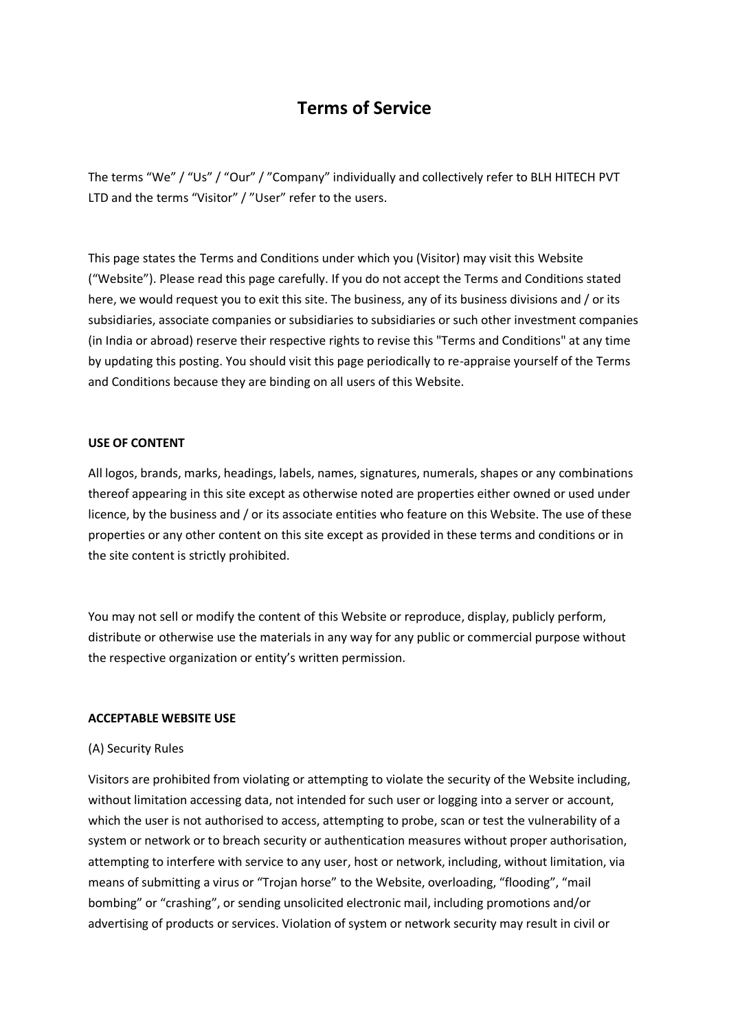# **Terms of Service**

The terms "We" / "Us" / "Our" / "Company" individually and collectively refer to BLH HITECH PVT LTD and the terms "Visitor" / "User" refer to the users.

This page states the Terms and Conditions under which you (Visitor) may visit this Website ("Website"). Please read this page carefully. If you do not accept the Terms and Conditions stated here, we would request you to exit this site. The business, any of its business divisions and / or its subsidiaries, associate companies or subsidiaries to subsidiaries or such other investment companies (in India or abroad) reserve their respective rights to revise this "Terms and Conditions" at any time by updating this posting. You should visit this page periodically to re-appraise yourself of the Terms and Conditions because they are binding on all users of this Website.

# **USE OF CONTENT**

All logos, brands, marks, headings, labels, names, signatures, numerals, shapes or any combinations thereof appearing in this site except as otherwise noted are properties either owned or used under licence, by the business and / or its associate entities who feature on this Website. The use of these properties or any other content on this site except as provided in these terms and conditions or in the site content is strictly prohibited.

You may not sell or modify the content of this Website or reproduce, display, publicly perform, distribute or otherwise use the materials in any way for any public or commercial purpose without the respective organization or entity's written permission.

# **ACCEPTABLE WEBSITE USE**

# (A) Security Rules

Visitors are prohibited from violating or attempting to violate the security of the Website including, without limitation accessing data, not intended for such user or logging into a server or account, which the user is not authorised to access, attempting to probe, scan or test the vulnerability of a system or network or to breach security or authentication measures without proper authorisation, attempting to interfere with service to any user, host or network, including, without limitation, via means of submitting a virus or "Trojan horse" to the Website, overloading, "flooding", "mail bombing" or "crashing", or sending unsolicited electronic mail, including promotions and/or advertising of products or services. Violation of system or network security may result in civil or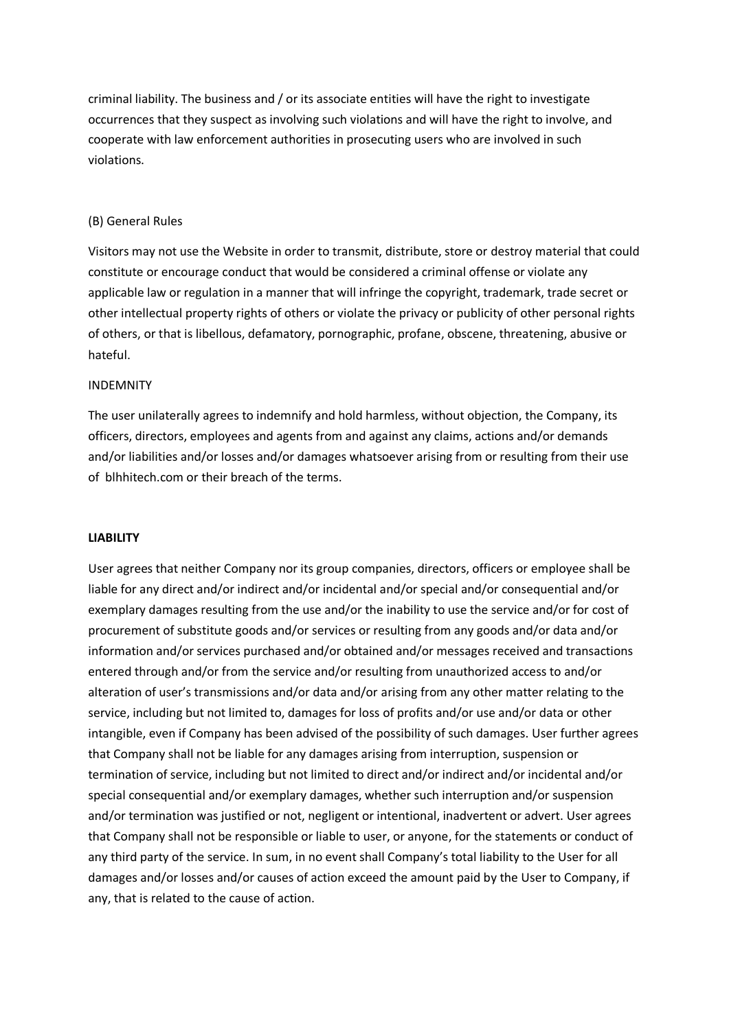criminal liability. The business and / or its associate entities will have the right to investigate occurrences that they suspect as involving such violations and will have the right to involve, and cooperate with law enforcement authorities in prosecuting users who are involved in such violations.

# (B) General Rules

Visitors may not use the Website in order to transmit, distribute, store or destroy material that could constitute or encourage conduct that would be considered a criminal offense or violate any applicable law or regulation in a manner that will infringe the copyright, trademark, trade secret or other intellectual property rights of others or violate the privacy or publicity of other personal rights of others, or that is libellous, defamatory, pornographic, profane, obscene, threatening, abusive or hateful.

# INDEMNITY

The user unilaterally agrees to indemnify and hold harmless, without objection, the Company, its officers, directors, employees and agents from and against any claims, actions and/or demands and/or liabilities and/or losses and/or damages whatsoever arising from or resulting from their use of blhhitech.com or their breach of the terms.

#### **LIABILITY**

User agrees that neither Company nor its group companies, directors, officers or employee shall be liable for any direct and/or indirect and/or incidental and/or special and/or consequential and/or exemplary damages resulting from the use and/or the inability to use the service and/or for cost of procurement of substitute goods and/or services or resulting from any goods and/or data and/or information and/or services purchased and/or obtained and/or messages received and transactions entered through and/or from the service and/or resulting from unauthorized access to and/or alteration of user's transmissions and/or data and/or arising from any other matter relating to the service, including but not limited to, damages for loss of profits and/or use and/or data or other intangible, even if Company has been advised of the possibility of such damages. User further agrees that Company shall not be liable for any damages arising from interruption, suspension or termination of service, including but not limited to direct and/or indirect and/or incidental and/or special consequential and/or exemplary damages, whether such interruption and/or suspension and/or termination was justified or not, negligent or intentional, inadvertent or advert. User agrees that Company shall not be responsible or liable to user, or anyone, for the statements or conduct of any third party of the service. In sum, in no event shall Company's total liability to the User for all damages and/or losses and/or causes of action exceed the amount paid by the User to Company, if any, that is related to the cause of action.